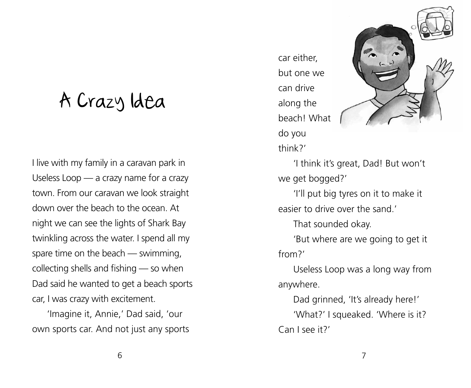## A Crazy Idea

I live with my family in a caravan park in Useless Loop — a crazy name for a crazy town. From our caravan we look straight down over the beach to the ocean. At night we can see the lights of Shark Bay twinkling across the water. I spend all my spare time on the beach — swimming, collecting shells and fishing — so when Dad said he wanted to get a beach sports car, I was crazy with excitement.

'Imagine it, Annie,' Dad said, 'our own sports car. And not just any sports car either, but one we can drive along the beach! What do you think?'



'I think it's great, Dad! But won't we get bogged?'

'I'll put big tyres on it to make it easier to drive over the sand.'

That sounded okay.

'But where are we going to get it from?'

Useless Loop was a long way from anywhere.

Dad grinned, 'It's already here!' 'What?' I squeaked. 'Where is it? Can I see it?'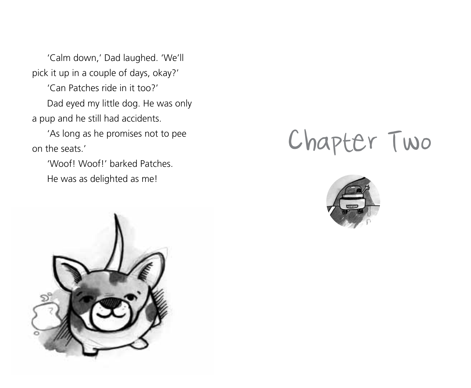'Calm down,' Dad laughed. 'We'll pick it up in a couple of days, okay?'

'Can Patches ride in it too?' Dad eyed my little dog. He was only a pup and he still had accidents.

'As long as he promises not to pee on the seats.'

'Woof! Woof!' barked Patches. He was as delighted as me!



# Chapter Two

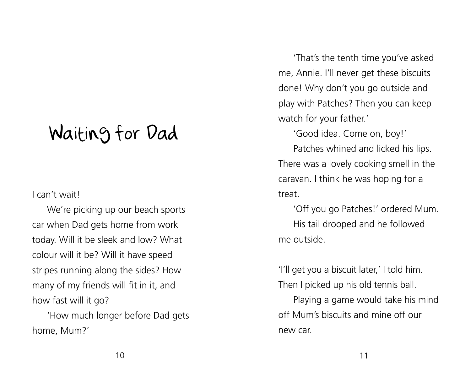### Waiting for Dad

#### I can't wait!

We're picking up our beach sports car when Dad gets home from work today. Will it be sleek and low? What colour will it be? Will it have speed stripes running along the sides? How many of my friends will fit in it, and how fast will it go?

'How much longer before Dad gets home, Mum?'

'That's the tenth time you've asked me, Annie. I'll never get these biscuits done! Why don't you go outside and play with Patches? Then you can keep watch for your father.'

'Good idea. Come on, boy!'

Patches whined and licked his lips. There was a lovely cooking smell in the caravan. I think he was hoping for a treat.

'Off you go Patches!' ordered Mum. His tail drooped and he followed me outside.

'I'll get you a biscuit later,' I told him. Then I picked up his old tennis ball.

Playing a game would take his mind off Mum's biscuits and mine off our new car.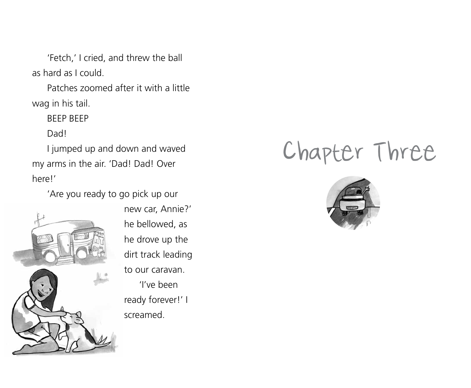'Fetch,' I cried, and threw the ball as hard as I could.

Patches zoomed after it with a little wag in his tail.

BEEP BEEP

Dad!

I jumped up and down and waved my arms in the air. 'Dad! Dad! Over here!'

'Are you ready to go pick up our



new car, Annie?' he bellowed, as he drove up the dirt track leading to our caravan. 'I've been ready forever!' I screamed.

## Chapter Three

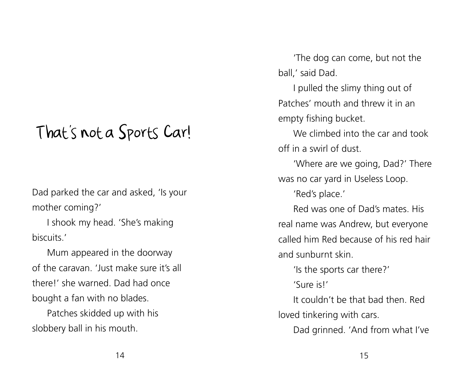### That's not a Sports Car!

Dad parked the car and asked, 'Is your mother coming?'

I shook my head. 'She's making biscuits.'

Mum appeared in the doorway of the caravan. 'Just make sure it's all there!' she warned. Dad had once bought a fan with no blades.

Patches skidded up with his slobbery ball in his mouth.

'The dog can come, but not the ball,' said Dad.

I pulled the slimy thing out of Patches' mouth and threw it in an empty fishing bucket.

We climbed into the car and took off in a swirl of dust.

'Where are we going, Dad?' There was no car yard in Useless Loop.

'Red's place.'

Red was one of Dad's mates. His real name was Andrew, but everyone called him Red because of his red hair and sunburnt skin.

'Is the sports car there?'

'Sure is!'

It couldn't be that bad then. Red loved tinkering with cars.

Dad grinned. 'And from what I've